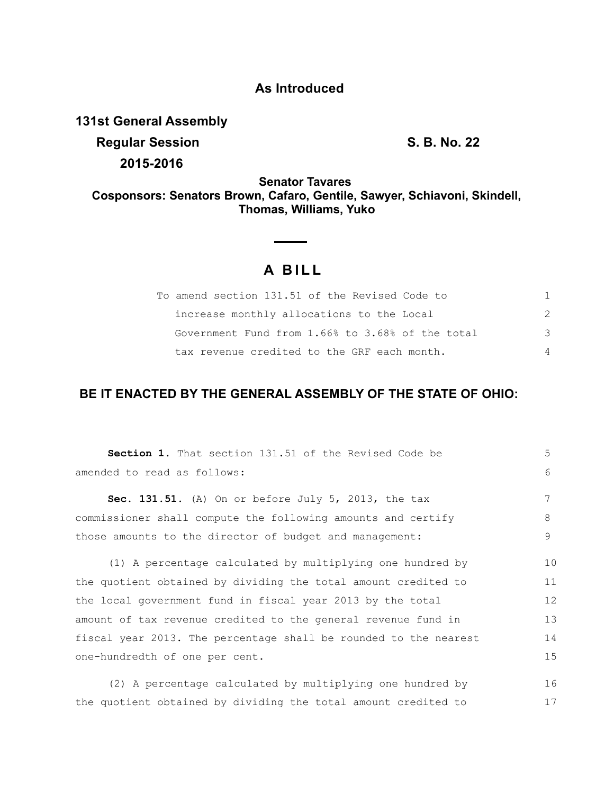## **As Introduced**

**131st General Assembly**

**Regular Session S. B. No. 22 2015-2016**

17

**Senator Tavares Cosponsors: Senators Brown, Cafaro, Gentile, Sawyer, Schiavoni, Skindell, Thomas, Williams, Yuko**

## **A B I L L**

| To amend section 131.51 of the Revised Code to   |          |
|--------------------------------------------------|----------|
| increase monthly allocations to the Local        |          |
| Government Fund from 1.66% to 3.68% of the total | 3        |
| tax revenue credited to the GRF each month.      | $\Delta$ |

## **BE IT ENACTED BY THE GENERAL ASSEMBLY OF THE STATE OF OHIO:**

| <b>Section 1.</b> That section 131.51 of the Revised Code be     | 5  |
|------------------------------------------------------------------|----|
| amended to read as follows:                                      | 6  |
|                                                                  |    |
| Sec. 131.51. (A) On or before July 5, 2013, the tax              | 7  |
| commissioner shall compute the following amounts and certify     | 8  |
| those amounts to the director of budget and management:          | 9  |
|                                                                  |    |
| (1) A percentage calculated by multiplying one hundred by        | 10 |
| the quotient obtained by dividing the total amount credited to   | 11 |
| the local government fund in fiscal year 2013 by the total       | 12 |
| amount of tax revenue credited to the general revenue fund in    | 13 |
| fiscal year 2013. The percentage shall be rounded to the nearest | 14 |
| one-hundredth of one per cent.                                   | 15 |
| (2) A percentage calculated by multiplying one hundred by        | 16 |

the quotient obtained by dividing the total amount credited to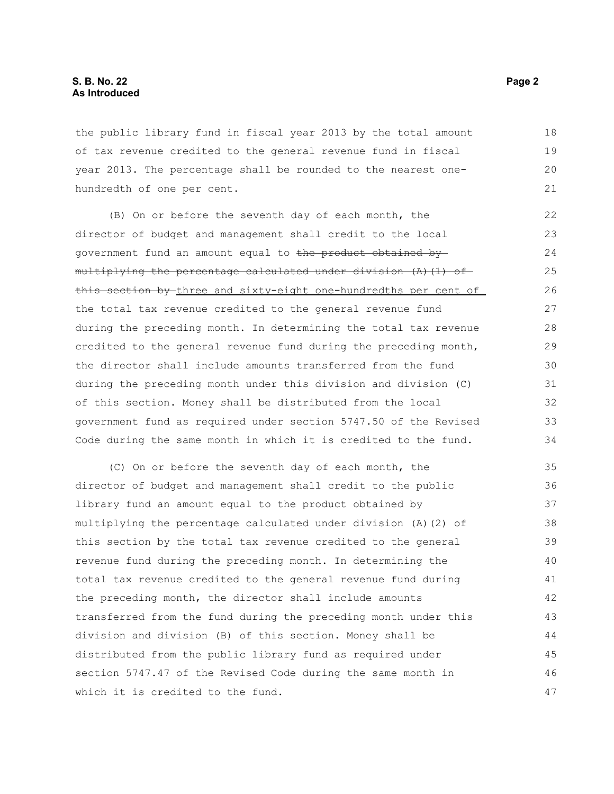the public library fund in fiscal year 2013 by the total amount of tax revenue credited to the general revenue fund in fiscal year 2013. The percentage shall be rounded to the nearest onehundredth of one per cent.

(B) On or before the seventh day of each month, the director of budget and management shall credit to the local government fund an amount equal to the product obtained by  $multiplying$  the percentage calculated under division (A)(1) ofthis section by three and sixty-eight one-hundredths per cent of the total tax revenue credited to the general revenue fund during the preceding month. In determining the total tax revenue credited to the general revenue fund during the preceding month, the director shall include amounts transferred from the fund during the preceding month under this division and division (C) of this section. Money shall be distributed from the local government fund as required under section 5747.50 of the Revised Code during the same month in which it is credited to the fund. 22 23 24 25 26 27 28 29 30 31 32 33 34

(C) On or before the seventh day of each month, the director of budget and management shall credit to the public library fund an amount equal to the product obtained by multiplying the percentage calculated under division (A)(2) of this section by the total tax revenue credited to the general revenue fund during the preceding month. In determining the total tax revenue credited to the general revenue fund during the preceding month, the director shall include amounts transferred from the fund during the preceding month under this division and division (B) of this section. Money shall be distributed from the public library fund as required under section 5747.47 of the Revised Code during the same month in which it is credited to the fund. 35 36 37 38 39 40 41 42 43 44 45 46 47